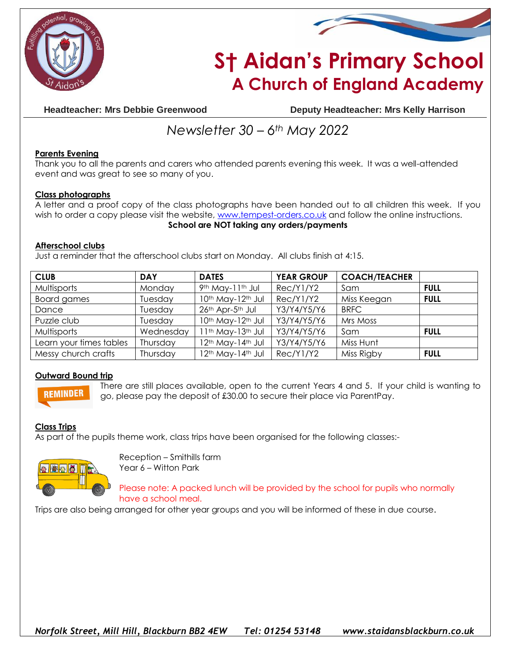



# **S† Aidan's Primary School A Church of England Academy**

**Headteacher: Mrs Debbie Greenwood Deputy Headteacher: Mrs Kelly Harrison**

## *Newsletter 30 – 6th May 2022*

### **Parents Evening**

Thank you to all the parents and carers who attended parents evening this week. It was a well-attended event and was great to see so many of you.

#### **Class photographs**

A letter and a proof copy of the class photographs have been handed out to all children this week. If you wish to order a copy please visit the website, [www.tempest-orders.co.uk](http://www.tempest-orders.co.uk/) and follow the online instructions. **School are NOT taking any orders/payments**

#### **Afterschool clubs**

Just a reminder that the afterschool clubs start on Monday. All clubs finish at 4:15.

| <b>CLUB</b>             | <b>DAY</b> | <b>DATES</b>                              | <b>YEAR GROUP</b> | <b>COACH/TEACHER</b> |             |
|-------------------------|------------|-------------------------------------------|-------------------|----------------------|-------------|
| Multisports             | Monday     | 9th May-11th Jul                          | Rec/Y1/Y2         | Sam                  | <b>FULL</b> |
| <b>Board games</b>      | Tuesday    | 10th May-12th Jul                         | Rec/Y1/Y2         | Miss Keegan          | <b>FULL</b> |
| Dance                   | Tuesday    | 26th Apr-5th Jul                          | Y3/Y4/Y5/Y6       | <b>BRFC</b>          |             |
| Puzzle club             | Tuesday    | 10th May-12th Jul                         | Y3/Y4/Y5/Y6       | Mrs Moss             |             |
| Multisports             | Wednesday  | I 1th May-13th Jul                        | Y3/Y4/Y5/Y6       | Sam                  | <b>FULL</b> |
| Learn your times tables | Thursday   | 12 <sup>th</sup> May-14 <sup>th</sup> Jul | Y3/Y4/Y5/Y6       | Miss Hunt            |             |
| Messy church crafts     | Thursday   | 12 <sup>th</sup> May-14 <sup>th</sup> Jul | Rec/Y1/Y2         | Miss Rigby           | <b>FULL</b> |

#### **Outward Bound trip**



There are still places available, open to the current Years 4 and 5. If your child is wanting to go, please pay the deposit of £30.00 to secure their place via ParentPay.

#### **Class Trips**

As part of the pupils theme work, class trips have been organised for the following classes:-



Reception – Smithills farm Year 6 – Witton Park

Please note: A packed lunch will be provided by the school for pupils who normally have a school meal.

Trips are also being arranged for other year groups and you will be informed of these in due course.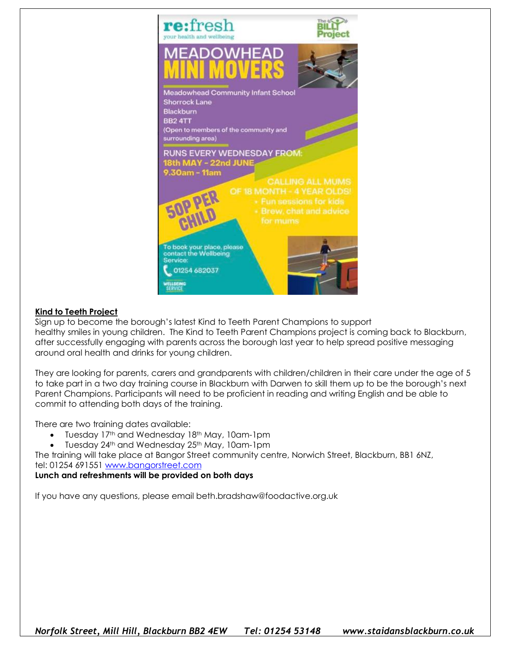

#### **Kind to Teeth Project**

Sign up to become the borough's latest Kind to Teeth Parent Champions to support healthy smiles in young children. The Kind to Teeth Parent Champions project is coming back to Blackburn, after successfully engaging with parents across the borough last year to help spread positive messaging around oral health and drinks for young children.

They are looking for parents, carers and grandparents with children/children in their care under the age of 5 to take part in a two day training course in Blackburn with Darwen to skill them up to be the borough's next Parent Champions. Participants will need to be proficient in reading and writing English and be able to commit to attending both days of the training.

There are two training dates available:

- Tuesday 17th and Wednesday 18th May, 10am-1pm
- Tuesday 24<sup>th</sup> and Wednesday 25<sup>th</sup> May, 10am-1pm

The training will take place at Bangor Street community centre, Norwich Street, Blackburn, BB1 6NZ, tel: 01254 691551 [www.bangorstreet.com](http://www.bangorstreet.com/)

#### **Lunch and refreshments will be provided on both days**

If you have any questions, please email beth.bradshaw@foodactive.org.uk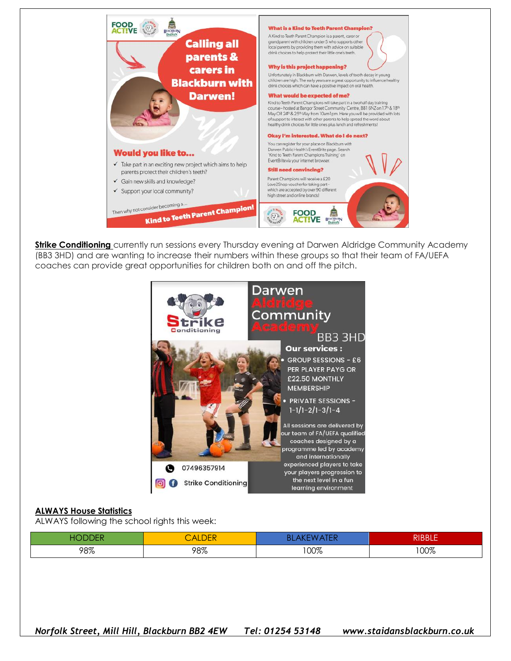

**Strike Conditioning** currently run sessions every Thursday evening at Darwen Aldridge Community Academy (BB3 3HD) and are wanting to increase their numbers within these groups so that their team of FA/UEFA coaches can provide great opportunities for children both on and off the pitch.



#### **ALWAYS House Statistics**

ALWAYS following the school rights this week:

|     | nrr<br>$\mathcal{A}^{\mu}$<br><b>ILDER</b> | u Lin | יום מות<br>DDLE |
|-----|--------------------------------------------|-------|-----------------|
| 98% | 98%                                        | 00%   | 100%            |

*Norfolk Street, Mill Hill, Blackburn BB2 4EW Tel: 01254 53148 www.staidansblackburn.co.uk*